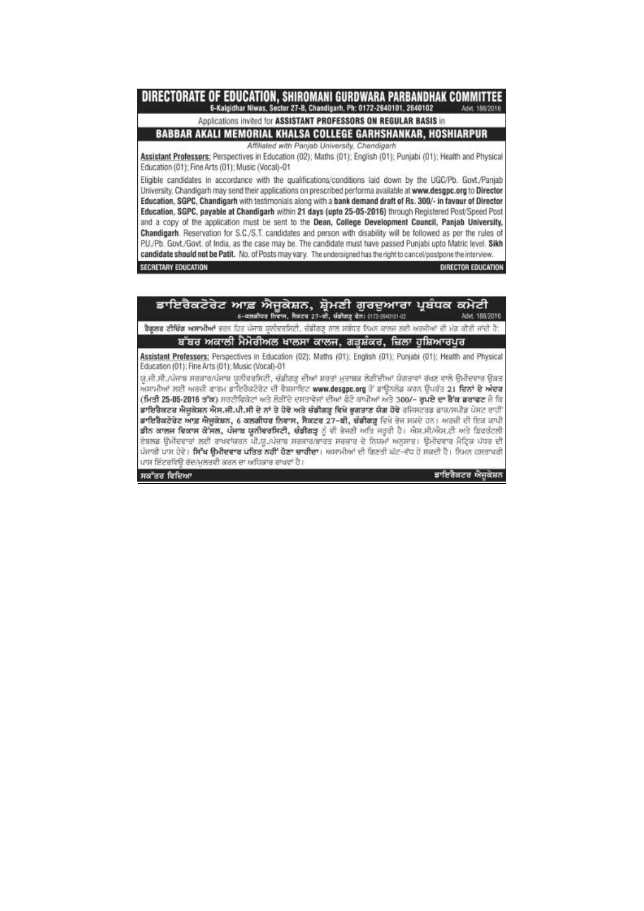DIRECTORATE OF EDUCATION, SHIROMANI GURDWARA PARBANDHAK COMMITTEE 6-Kalgidhar Niwas, Sector 27-B, Chandigarh, Ph: 0172-2640101, 2640102 And 188/2016

Applications invited for ASSISTANT PROFESSORS ON REGULAR BASIS in

BABBAR AKALI MEMORIAL KHALSA COLLEGE GARHSHANKAR, HOSHIARPUR

Affiliated with Panjab University, Chandigarh Assistant Professors: Perspectives in Education (02); Maths (01); English (01); Punjabi (01); Health and Physical Education (01); Fine Arts (01); Music (Vocal)-01

Eligible candidates in accordance with the qualifications/conditions laid down by the UGC/Pb. Govt./Panjab University, Chandigarh may send their applications on prescribed performa available at www.desgpc.org to Director Education, SGPC, Chandigarh with testimonials along with a bank demand draft of Rs. 300/- in favour of Director Education, SGPC, payable at Chandigarh within 21 days (upto 25-05-2016) through Registered Post/Speed Post and a copy of the application must be sent to the Dean. College Development Council, Paniab University. Chandigarh. Reservation for S.C./S.T. candidates and person with disability will be followed as per the rules of P.U./Pb. Govt./Govt. of India, as the case may be. The candidate must have passed Punjabi upto Matric level. Sikh candidate should not be Patit. No. of Posts may vary. The undersigned has the right to cancel/postpone the interview.

**SECRETARY EDUCATION** 

DIRECTOR EDUCATION

| ਡਾਇਰੈਕਟੋਰੇਟ ਆਫ਼ ਐਜੂਕੇਸ਼ਨ, ਸ਼੍ਰੋਮਣੀ ਗੁਰਦੁਆਰਾ ਪ੍ਰਬੰਧਕ ਕਮੇਟੀ<br>6-वड़बीयव ठिराम, मैबदव 27-थी, चंडीबाइ बेठ: 0172-2640101-02                                                                                                                                                                                                                                                                                                                                                                                                                                                                                                                                                                                                                                                                                                                                                                                                                                                                                                                                                                                                  | 188/2016          |
|--------------------------------------------------------------------------------------------------------------------------------------------------------------------------------------------------------------------------------------------------------------------------------------------------------------------------------------------------------------------------------------------------------------------------------------------------------------------------------------------------------------------------------------------------------------------------------------------------------------------------------------------------------------------------------------------------------------------------------------------------------------------------------------------------------------------------------------------------------------------------------------------------------------------------------------------------------------------------------------------------------------------------------------------------------------------------------------------------------------------------|-------------------|
| <b>ਰੈਗੂਲਰ ਟੀਚਿੰਗ ਅਸਾਮੀਆਂ</b> ਭਰਨ ਹਿਤ ਪੰਜਾਬ ਯੂਨੀਵਰਸਿਟੀ, ਚੰਡੀਗੜ੍ਹ ਨਾਲ ਸਬੰਧਤ ਨਿਮਨ ਕਾਲਜ ਲਈ ਅਰਜੀਆਂ ਦੀ ਮੰਗ ਕੀਤੀ ਜਾਂਦੀ ਹੈ:                                                                                                                                                                                                                                                                                                                                                                                                                                                                                                                                                                                                                                                                                                                                                                                                                                                                                                                                                                                                      |                   |
| ਬੱਬਰ ਅਕਾਲੀ ਮੈਮੋਰੀਅਲ ਖਾਲਸਾ ਕਾਲਜ, ਗੜ੍ਹਸ਼ੰਕਰ, ਜ਼ਿਲਾ ਹੁਸ਼ਿਆਰਪੁਰ                                                                                                                                                                                                                                                                                                                                                                                                                                                                                                                                                                                                                                                                                                                                                                                                                                                                                                                                                                                                                                                              |                   |
| Assistant Professors: Perspectives in Education (02); Maths (01); English (01); Punjabi (01); Health and Physical<br>Education (01); Fine Arts (01); Music (Vocal)-01<br>ਯੂ.ਜੀ.ਸੀ./ਪੰਜਾਬ ਸਰਕਾਰ/ਪੰਜਾਬ ਯੂਨੀਵਰਸਿਟੀ, ਚੰਡੀਗੜ੍ਹ ਦੀਆਂ ਸ਼ਰਤਾਂ ਮੁਤਾਬਕ ਲੌੜੀਂਦੀਆਂ ਯੋਗਤਾਵਾਂ ਰੱਖਣ ਵਾਲੇ ਉਮੀਦਵਾਰ ਉਕਤ<br>ਅਸਾਮੀਆਂ ਲਈ ਅਰਜ਼ੀ ਫਾਰਮ ਭਾਇਰੈਕਟੋਰੇਟ ਦੀ ਵੈਬਸਾਇਟ www.desgpc.org ਤੋਂ ਭਾਉਨਲੋਡ ਕਰਨ ਉਪਰੰਤ 21 ਦਿ <b>ਨਾਂ ਦੇ ਅੰਦਰ</b><br>(ਮਿਤੀ 25-05-2016 ਤੱਕ) ਸਰਟੀਫਿਕੇਟਾਂ ਅਤੇ ਲੋੜੀਂਦੇ ਦਸਤਾਵੇਜਾਂ ਦੀਆਂ ਫੋਟੇ ਕਾਪੀਆਂ ਅਤੇ 300/~ ਰੁਪਏ ਦਾ ਬੈੱਕ ਡਰਾਫਟ ਜੋ ਕਿ<br>ਡਾਇਰੈਕਟਰ ਐਜੂਕੇਸ਼ਨ ਐਸ.ਜੀ.ਪੀ.ਸੀ ਦੇ ਨਾਂ ਤੇ ਹੋਵੇ ਅਤੇ ਚੰਡੀਗੜ੍ਹ ਵਿਖੇ ਭੁਗਤਾਣ ਯੋਗ ਹੋਵੇ ਰਜਿਸਟਰਡ ਡਾਕ/ਸਪੀਡ ਪੋਸਟ ਰਾਹੀਂ<br>ਡਾਇਰੈਕਟੋਰੇਟ ਆਫ਼ ਐਜੂਕੇਸ਼ਨ, 6 ਕਲਗੀਧਰ ਨਿਵਾਸ, ਸੈਕਟਰ 27-ਬੀ, ਚੰਡੀਗੜ੍ਹ ਵਿਖੇ ਭੇਜ ਸਕਦੇ ਹਨ। ਅਰਜ਼ੀ ਦੀ ਇਕ ਕਾਪੀ<br>ਡੀਨ ਕਾਲਜ ਵਿਕਾਸ ਕੋਸਲ, ਪੰਜਾਬ ਯੂਨੀਵਰਸਿਟੀ, ਚੰਡੀਗੜ੍ਹ ਨੂੰ ਵੀ ਭੇਜਣੀ ਅਤਿ ਜਰੂਰੀ ਹੈ। ਐਸ.ਸੀ/ਐਸ.ਟੀ ਅਤੇ ਡਿਫਰੰਟਲੀ<br>ਏਬਲਡ ਉਮੀਦਵਾਰਾਂ ਲਈ ਰਾਖਵਾਂਕਰਨ ਪੀ.ਯੂ./ਪੰਜਾਬ ਸਰਕਾਰ/ਭਾਰਤ ਸਰਕਾਰ ਦੇ ਨਿਯਮਾਂ ਅਨੁਸਾਰ। ਉਮੀਦਵਾਰ ਮੈਟ੍ਰਿਕ ਪੱਧਰ ਦੀ<br>ਪੰਜਾਬੀ ਪਾਸ ਹੋਵੇ। <b>ਸਿੱਖ ਉਮੀਦਵਾਰ ਪਤਿਤ ਨਹੀਂ ਹੋਣਾ ਚਾਹੀਦਾ</b> । ਅਸਾਮੀਆਂ ਦੀ ਗਿਣਤੀ ਘੱਟ-ਵੱਧ ਹੋ ਸਕਦੀ ਹੈ। ਨਿਮਨ ਹਸਤਾਖਰੀ<br>ਪਾਸ ਇੰਟਰਵਿੳ ਰੰਦ/ਮਲਤਵੀ ਕਰਨ ਦਾ ਅਧਿਕਾਰ ਰਾਖਵਾਂ ਹੈ। |                   |
| ਸਕੱਤਰ ਵਿਦਿਆ                                                                                                                                                                                                                                                                                                                                                                                                                                                                                                                                                                                                                                                                                                                                                                                                                                                                                                                                                                                                                                                                                                              | ਡਾਇਰੈਕਟਰ ਅੱਜਕੇਸ਼ਨ |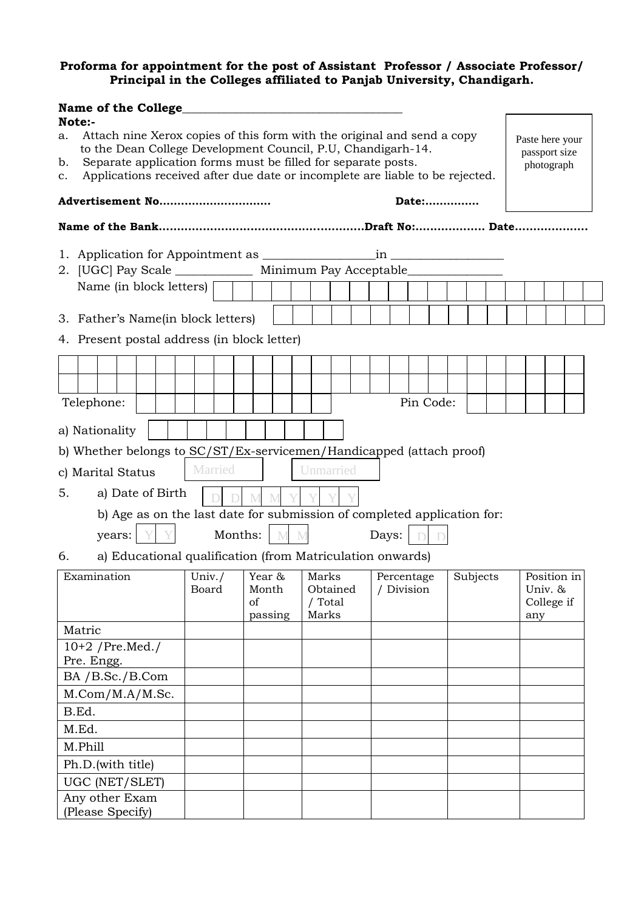#### **Proforma for appointment for the post of Assistant Professor / Associate Professor/ Principal in the Colleges affiliated to Panjab University, Chandigarh.**

|                                 | Note:-                                                                                                                                                                                                                                                                                                                                      | Name of the College                                                              |  |     |  |           |  |  |         |                  |     |           |                     |            |  |            |           |  |          |                              |  |             |  |  |
|---------------------------------|---------------------------------------------------------------------------------------------------------------------------------------------------------------------------------------------------------------------------------------------------------------------------------------------------------------------------------------------|----------------------------------------------------------------------------------|--|-----|--|-----------|--|--|---------|------------------|-----|-----------|---------------------|------------|--|------------|-----------|--|----------|------------------------------|--|-------------|--|--|
| а.<br>b.                        | Attach nine Xerox copies of this form with the original and send a copy<br>Paste here your<br>to the Dean College Development Council, P.U, Chandigarh-14.<br>passport size<br>Separate application forms must be filled for separate posts.<br>photograph<br>Applications received after due date or incomplete are liable to be rejected. |                                                                                  |  |     |  |           |  |  |         |                  |     |           |                     |            |  |            |           |  |          |                              |  |             |  |  |
| c.                              |                                                                                                                                                                                                                                                                                                                                             |                                                                                  |  |     |  |           |  |  |         |                  |     |           |                     |            |  |            |           |  |          |                              |  |             |  |  |
|                                 |                                                                                                                                                                                                                                                                                                                                             | Advertisement No                                                                 |  |     |  |           |  |  |         |                  |     |           |                     |            |  |            | Date:     |  |          |                              |  |             |  |  |
|                                 |                                                                                                                                                                                                                                                                                                                                             |                                                                                  |  |     |  |           |  |  |         |                  |     |           |                     |            |  |            |           |  |          |                              |  |             |  |  |
|                                 |                                                                                                                                                                                                                                                                                                                                             |                                                                                  |  |     |  |           |  |  |         |                  |     |           |                     |            |  |            |           |  |          |                              |  |             |  |  |
|                                 |                                                                                                                                                                                                                                                                                                                                             | 2. [UGC] Pay Scale ______________ Minimum Pay Acceptable________________________ |  |     |  |           |  |  |         |                  |     |           |                     |            |  |            |           |  |          |                              |  |             |  |  |
|                                 |                                                                                                                                                                                                                                                                                                                                             | Name (in block letters)                                                          |  |     |  |           |  |  |         |                  |     |           |                     |            |  |            |           |  |          |                              |  |             |  |  |
|                                 |                                                                                                                                                                                                                                                                                                                                             | 3. Father's Name(in block letters)                                               |  |     |  |           |  |  |         |                  |     |           |                     |            |  |            |           |  |          |                              |  |             |  |  |
|                                 |                                                                                                                                                                                                                                                                                                                                             | 4. Present postal address (in block letter)                                      |  |     |  |           |  |  |         |                  |     |           |                     |            |  |            |           |  |          |                              |  |             |  |  |
|                                 |                                                                                                                                                                                                                                                                                                                                             |                                                                                  |  |     |  |           |  |  |         |                  |     |           |                     |            |  |            |           |  |          |                              |  |             |  |  |
|                                 |                                                                                                                                                                                                                                                                                                                                             |                                                                                  |  |     |  |           |  |  |         |                  |     |           |                     |            |  |            |           |  |          |                              |  |             |  |  |
|                                 |                                                                                                                                                                                                                                                                                                                                             | Telephone:                                                                       |  |     |  |           |  |  |         |                  |     |           |                     |            |  |            | Pin Code: |  |          |                              |  |             |  |  |
|                                 |                                                                                                                                                                                                                                                                                                                                             |                                                                                  |  |     |  |           |  |  |         |                  |     |           |                     |            |  |            |           |  |          |                              |  |             |  |  |
|                                 |                                                                                                                                                                                                                                                                                                                                             | a) Nationality                                                                   |  |     |  |           |  |  |         |                  |     |           |                     |            |  |            |           |  |          |                              |  |             |  |  |
|                                 |                                                                                                                                                                                                                                                                                                                                             | b) Whether belongs to SC/ST/Ex-servicemen/Handicapped (attach proof)             |  |     |  |           |  |  |         |                  |     |           |                     |            |  |            |           |  |          |                              |  |             |  |  |
|                                 |                                                                                                                                                                                                                                                                                                                                             | c) Marital Status                                                                |  |     |  | Married   |  |  |         |                  |     | Unmarried |                     |            |  |            |           |  |          |                              |  |             |  |  |
| 5.                              |                                                                                                                                                                                                                                                                                                                                             | a) Date of Birth                                                                 |  |     |  |           |  |  |         | M                |     |           |                     |            |  |            |           |  |          |                              |  |             |  |  |
|                                 |                                                                                                                                                                                                                                                                                                                                             | b) Age as on the last date for submission of completed application for:          |  |     |  |           |  |  |         |                  |     |           |                     |            |  |            |           |  |          |                              |  |             |  |  |
|                                 |                                                                                                                                                                                                                                                                                                                                             | years:                                                                           |  | Y Y |  |           |  |  | Months: |                  | M M |           |                     | Days:      |  |            |           |  |          |                              |  |             |  |  |
| 6.                              |                                                                                                                                                                                                                                                                                                                                             | a) Educational qualification (from Matriculation onwards)                        |  |     |  |           |  |  |         |                  |     |           |                     |            |  |            |           |  |          |                              |  |             |  |  |
|                                 |                                                                                                                                                                                                                                                                                                                                             | Examination                                                                      |  |     |  | Univ. $/$ |  |  |         | Year &           |     | Marks     |                     |            |  | Percentage |           |  | Subjects |                              |  | Position in |  |  |
|                                 |                                                                                                                                                                                                                                                                                                                                             |                                                                                  |  |     |  | Board     |  |  |         | Month<br>passing |     | Marks     | Obtained<br>/ Total | / Division |  |            |           |  |          | Univ. &<br>College if<br>any |  |             |  |  |
|                                 | Matric                                                                                                                                                                                                                                                                                                                                      |                                                                                  |  |     |  |           |  |  |         |                  |     |           |                     |            |  |            |           |  |          |                              |  |             |  |  |
| $10+2$ /Pre.Med./<br>Pre. Engg. |                                                                                                                                                                                                                                                                                                                                             |                                                                                  |  |     |  |           |  |  |         |                  |     |           |                     |            |  |            |           |  |          |                              |  |             |  |  |
|                                 |                                                                                                                                                                                                                                                                                                                                             | BA / B.Sc./ B.Com                                                                |  |     |  |           |  |  |         |                  |     |           |                     |            |  |            |           |  |          |                              |  |             |  |  |
| M. Com/M.A/M.Sc.                |                                                                                                                                                                                                                                                                                                                                             |                                                                                  |  |     |  |           |  |  |         |                  |     |           |                     |            |  |            |           |  |          |                              |  |             |  |  |
| B.Ed.                           |                                                                                                                                                                                                                                                                                                                                             |                                                                                  |  |     |  |           |  |  |         |                  |     |           |                     |            |  |            |           |  |          |                              |  |             |  |  |
| M.Ed.                           |                                                                                                                                                                                                                                                                                                                                             |                                                                                  |  |     |  |           |  |  |         |                  |     |           |                     |            |  |            |           |  |          |                              |  |             |  |  |
| M.Phill                         |                                                                                                                                                                                                                                                                                                                                             |                                                                                  |  |     |  |           |  |  |         |                  |     |           |                     |            |  |            |           |  |          |                              |  |             |  |  |
|                                 |                                                                                                                                                                                                                                                                                                                                             | Ph.D. (with title)                                                               |  |     |  |           |  |  |         |                  |     |           |                     |            |  |            |           |  |          |                              |  |             |  |  |
|                                 |                                                                                                                                                                                                                                                                                                                                             | UGC (NET/SLET)                                                                   |  |     |  |           |  |  |         |                  |     |           |                     |            |  |            |           |  |          |                              |  |             |  |  |
|                                 |                                                                                                                                                                                                                                                                                                                                             | Any other Exam<br>(Please Specify)                                               |  |     |  |           |  |  |         |                  |     |           |                     |            |  |            |           |  |          |                              |  |             |  |  |